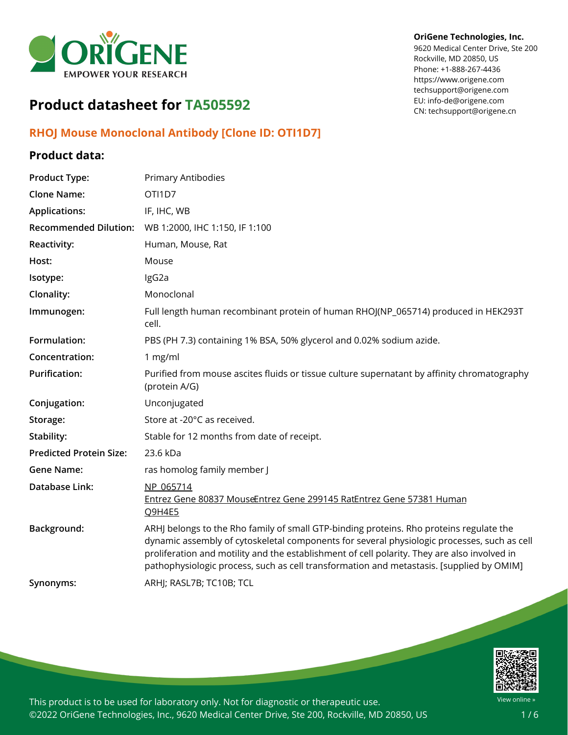

#### **OriGene Technologies, Inc.**

9620 Medical Center Drive, Ste 200 Rockville, MD 20850, US Phone: +1-888-267-4436 https://www.origene.com techsupport@origene.com EU: info-de@origene.com CN: techsupport@origene.cn

# **Product datasheet for TA505592**

### **RHOJ Mouse Monoclonal Antibody [Clone ID: OTI1D7]**

#### **Product data:**

| <b>Product Type:</b>           | Primary Antibodies                                                                                                                                                                                                                                                                                                                                                                 |
|--------------------------------|------------------------------------------------------------------------------------------------------------------------------------------------------------------------------------------------------------------------------------------------------------------------------------------------------------------------------------------------------------------------------------|
| <b>Clone Name:</b>             | OTI1D7                                                                                                                                                                                                                                                                                                                                                                             |
| <b>Applications:</b>           | IF, IHC, WB                                                                                                                                                                                                                                                                                                                                                                        |
| <b>Recommended Dilution:</b>   | WB 1:2000, IHC 1:150, IF 1:100                                                                                                                                                                                                                                                                                                                                                     |
| <b>Reactivity:</b>             | Human, Mouse, Rat                                                                                                                                                                                                                                                                                                                                                                  |
| Host:                          | Mouse                                                                                                                                                                                                                                                                                                                                                                              |
| Isotype:                       | IgG2a                                                                                                                                                                                                                                                                                                                                                                              |
| Clonality:                     | Monoclonal                                                                                                                                                                                                                                                                                                                                                                         |
| Immunogen:                     | Full length human recombinant protein of human RHOJ(NP_065714) produced in HEK293T<br>cell.                                                                                                                                                                                                                                                                                        |
| Formulation:                   | PBS (PH 7.3) containing 1% BSA, 50% glycerol and 0.02% sodium azide.                                                                                                                                                                                                                                                                                                               |
| Concentration:                 | 1 mg/ml                                                                                                                                                                                                                                                                                                                                                                            |
| <b>Purification:</b>           | Purified from mouse ascites fluids or tissue culture supernatant by affinity chromatography<br>(protein A/G)                                                                                                                                                                                                                                                                       |
| Conjugation:                   | Unconjugated                                                                                                                                                                                                                                                                                                                                                                       |
| Storage:                       | Store at -20°C as received.                                                                                                                                                                                                                                                                                                                                                        |
| Stability:                     | Stable for 12 months from date of receipt.                                                                                                                                                                                                                                                                                                                                         |
| <b>Predicted Protein Size:</b> | 23.6 kDa                                                                                                                                                                                                                                                                                                                                                                           |
| <b>Gene Name:</b>              | ras homolog family member J                                                                                                                                                                                                                                                                                                                                                        |
| Database Link:                 | NP 065714<br>Entrez Gene 80837 MouseEntrez Gene 299145 RatEntrez Gene 57381 Human<br>Q9H4E5                                                                                                                                                                                                                                                                                        |
| Background:                    | ARHJ belongs to the Rho family of small GTP-binding proteins. Rho proteins regulate the<br>dynamic assembly of cytoskeletal components for several physiologic processes, such as cell<br>proliferation and motility and the establishment of cell polarity. They are also involved in<br>pathophysiologic process, such as cell transformation and metastasis. [supplied by OMIM] |
| Synonyms:                      | ARHJ; RASL7B; TC10B; TCL                                                                                                                                                                                                                                                                                                                                                           |
|                                |                                                                                                                                                                                                                                                                                                                                                                                    |

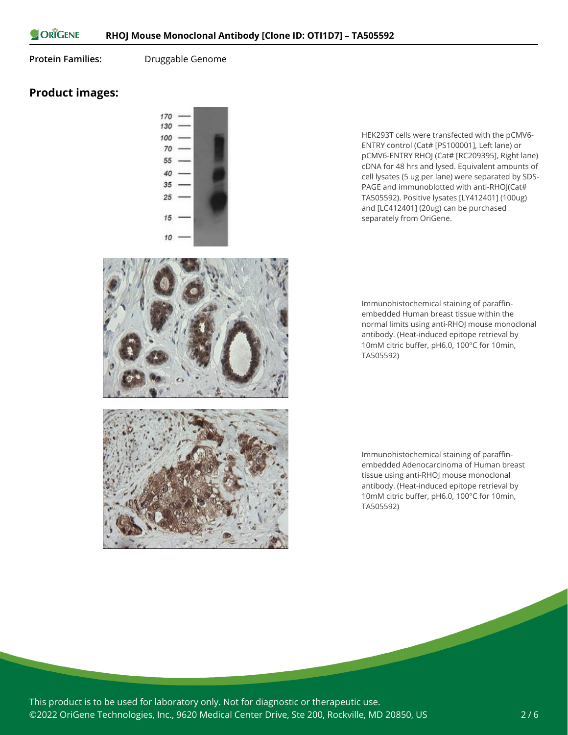ORIGENE

**Protein Families:** Druggable Genome

## **Product images:**



HEK293T cells were transfected with the pCMV6- ENTRY control (Cat# [PS100001], Left lane) or pCMV6-ENTRY RHOJ (Cat# [RC209395], Right lane) cDNA for 48 hrs and lysed. Equivalent amounts of cell lysates (5 ug per lane) were separated by SDS-PAGE and immunoblotted with anti-RHOJ(Cat# TA505592). Positive lysates [LY412401] (100ug) and [LC412401] (20ug) can be purchased separately from OriGene.

Immunohistochemical staining of paraffinembedded Human breast tissue within the normal limits using anti-RHOJ mouse monoclonal antibody. (Heat-induced epitope retrieval by 10mM citric buffer, pH6.0, 100°C for 10min, TA505592)

Immunohistochemical staining of paraffinembedded Adenocarcinoma of Human breast tissue using anti-RHOJ mouse monoclonal antibody. (Heat-induced epitope retrieval by 10mM citric buffer, pH6.0, 100°C for 10min, TA505592)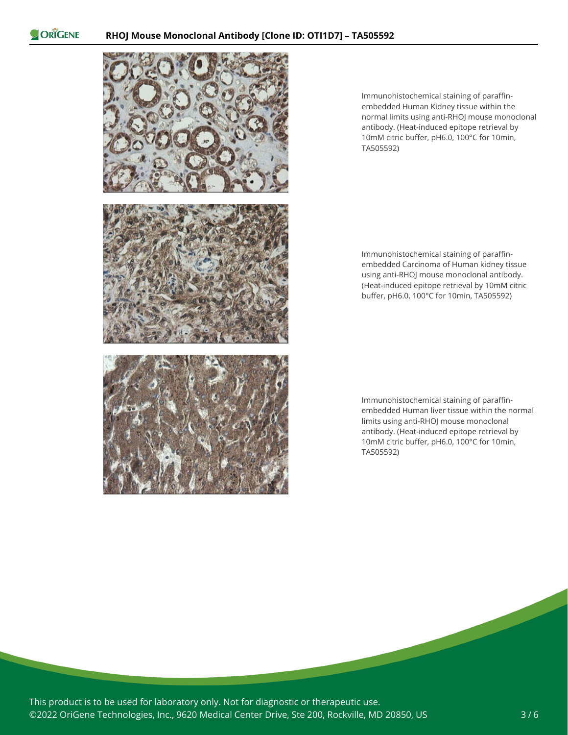ORIGENE



Immunohistochemical staining of paraffinembedded Human Kidney tissue within the normal limits using anti-RHOJ mouse monoclonal antibody. (Heat-induced epitope retrieval by 10mM citric buffer, pH6.0, 100°C for 10min, TA505592)

Immunohistochemical staining of paraffinembedded Carcinoma of Human kidney tissue using anti-RHOJ mouse monoclonal antibody. (Heat-induced epitope retrieval by 10mM citric buffer, pH6.0, 100°C for 10min, TA505592)

Immunohistochemical staining of paraffinembedded Human liver tissue within the normal limits using anti-RHOJ mouse monoclonal antibody. (Heat-induced epitope retrieval by 10mM citric buffer, pH6.0, 100°C for 10min, TA505592)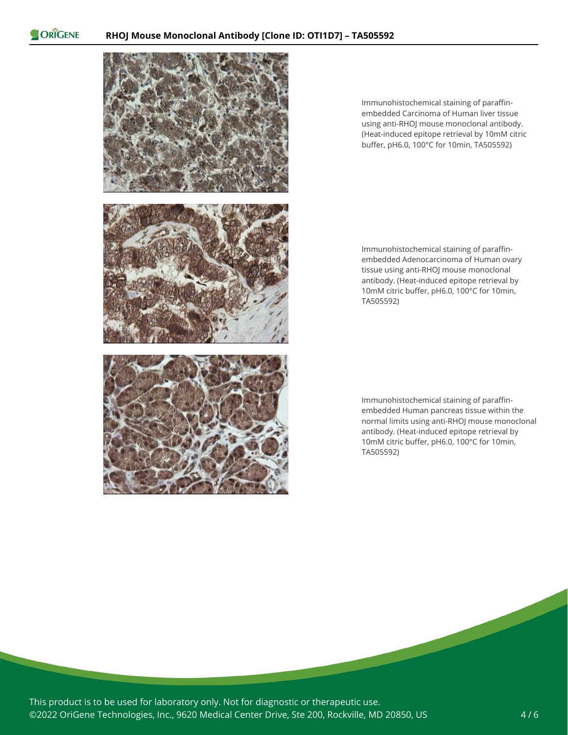ORIGENE



Immunohistochemical staining of paraffinembedded Carcinoma of Human liver tissue using anti-RHOJ mouse monoclonal antibody. (Heat-induced epitope retrieval by 10mM citric buffer, pH6.0, 100°C for 10min, TA505592)

Immunohistochemical staining of paraffinembedded Adenocarcinoma of Human ovary tissue using anti-RHOJ mouse monoclonal antibody. (Heat-induced epitope retrieval by 10mM citric buffer, pH6.0, 100°C for 10min, TA505592)

Immunohistochemical staining of paraffinembedded Human pancreas tissue within the normal limits using anti-RHOJ mouse monoclonal antibody. (Heat-induced epitope retrieval by 10mM citric buffer, pH6.0, 100°C for 10min, TA505592)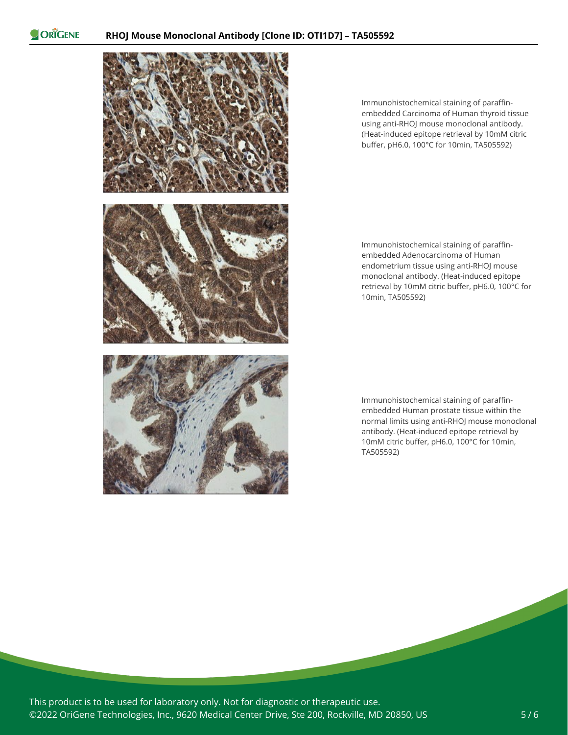ORIGENE



Immunohistochemical staining of paraffinembedded Carcinoma of Human thyroid tissue using anti-RHOJ mouse monoclonal antibody. (Heat-induced epitope retrieval by 10mM citric buffer, pH6.0, 100°C for 10min, TA505592)

Immunohistochemical staining of paraffinembedded Adenocarcinoma of Human endometrium tissue using anti-RHOJ mouse monoclonal antibody. (Heat-induced epitope retrieval by 10mM citric buffer, pH6.0, 100°C for 10min, TA505592)

Immunohistochemical staining of paraffinembedded Human prostate tissue within the normal limits using anti-RHOJ mouse monoclonal antibody. (Heat-induced epitope retrieval by 10mM citric buffer, pH6.0, 100°C for 10min, TA505592)